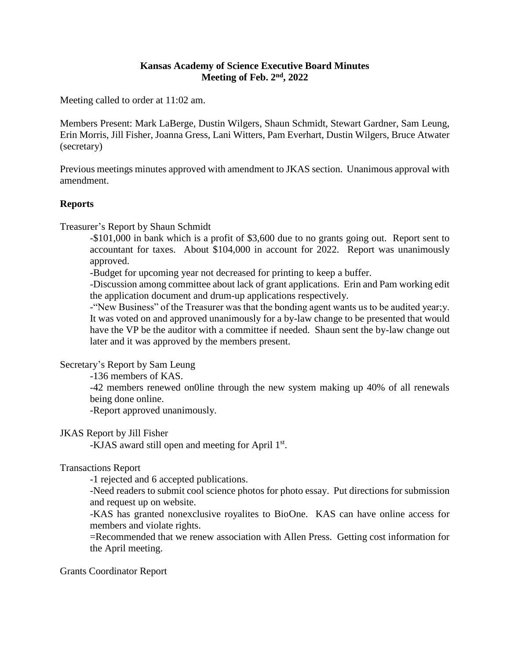## **Kansas Academy of Science Executive Board Minutes Meeting of Feb. 2nd, 2022**

Meeting called to order at 11:02 am.

Members Present: Mark LaBerge, Dustin Wilgers, Shaun Schmidt, Stewart Gardner, Sam Leung, Erin Morris, Jill Fisher, Joanna Gress, Lani Witters, Pam Everhart, Dustin Wilgers, Bruce Atwater (secretary)

Previous meetings minutes approved with amendment to JKAS section. Unanimous approval with amendment.

# **Reports**

Treasurer's Report by Shaun Schmidt

-\$101,000 in bank which is a profit of \$3,600 due to no grants going out. Report sent to accountant for taxes. About \$104,000 in account for 2022. Report was unanimously approved.

-Budget for upcoming year not decreased for printing to keep a buffer.

-Discussion among committee about lack of grant applications. Erin and Pam working edit the application document and drum-up applications respectively.

-"New Business" of the Treasurer was that the bonding agent wants us to be audited year;y. It was voted on and approved unanimously for a by-law change to be presented that would have the VP be the auditor with a committee if needed. Shaun sent the by-law change out later and it was approved by the members present.

Secretary's Report by Sam Leung

-136 members of KAS.

-42 members renewed on0line through the new system making up 40% of all renewals being done online.

-Report approved unanimously.

### JKAS Report by Jill Fisher

-KJAS award still open and meeting for April 1<sup>st</sup>.

### Transactions Report

-1 rejected and 6 accepted publications.

-Need readers to submit cool science photos for photo essay. Put directions for submission and request up on website.

-KAS has granted nonexclusive royalites to BioOne. KAS can have online access for members and violate rights.

=Recommended that we renew association with Allen Press. Getting cost information for the April meeting.

Grants Coordinator Report